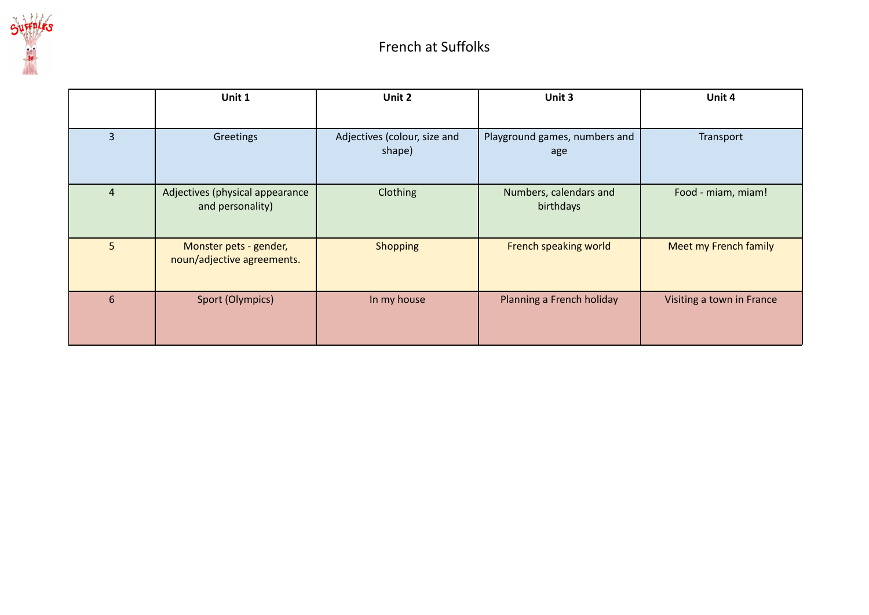

|                | Unit 1                                               | Unit 2                                 | Unit 3                               | Unit 4                    |
|----------------|------------------------------------------------------|----------------------------------------|--------------------------------------|---------------------------|
|                |                                                      |                                        |                                      |                           |
| 3              | Greetings                                            | Adjectives (colour, size and<br>shape) | Playground games, numbers and<br>age | Transport                 |
| $\overline{4}$ | Adjectives (physical appearance<br>and personality)  | Clothing                               | Numbers, calendars and<br>birthdays  | Food - miam, miam!        |
| 5              | Monster pets - gender,<br>noun/adjective agreements. | <b>Shopping</b>                        | French speaking world                | Meet my French family     |
| 6              | Sport (Olympics)                                     | In my house                            | Planning a French holiday            | Visiting a town in France |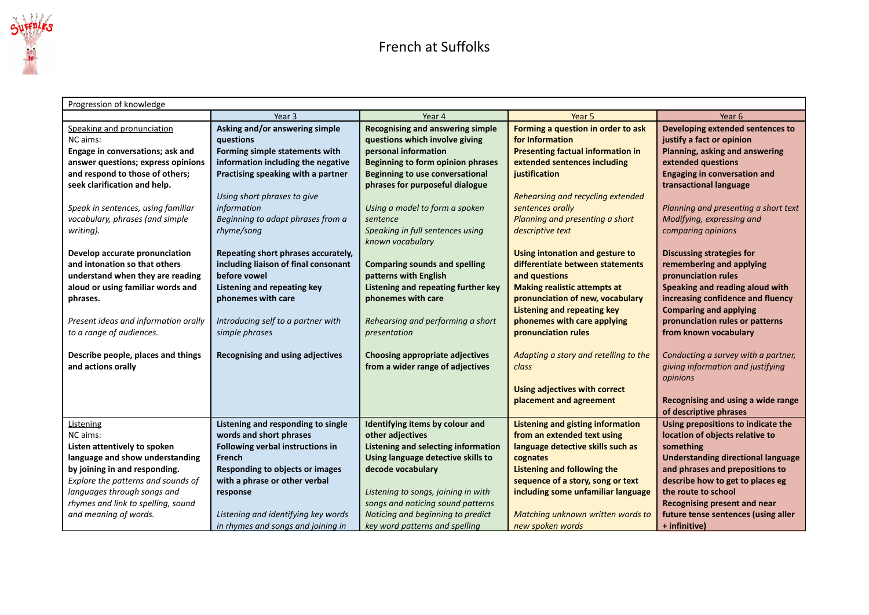

| Progression of knowledge             |                                        |                                          |                                          |                                           |  |
|--------------------------------------|----------------------------------------|------------------------------------------|------------------------------------------|-------------------------------------------|--|
|                                      | Year 3                                 | Year 4                                   | Year 5                                   | Year 6                                    |  |
| Speaking and pronunciation           | Asking and/or answering simple         | <b>Recognising and answering simple</b>  | Forming a question in order to ask       | Developing extended sentences to          |  |
| NC aims:                             | questions                              | questions which involve giving           | for Information                          | justify a fact or opinion                 |  |
| Engage in conversations; ask and     | Forming simple statements with         | personal information                     | <b>Presenting factual information in</b> | Planning, asking and answering            |  |
| answer questions; express opinions   | information including the negative     | <b>Beginning to form opinion phrases</b> | extended sentences including             | extended questions                        |  |
| and respond to those of others;      | Practising speaking with a partner     | <b>Beginning to use conversational</b>   | justification                            | <b>Engaging in conversation and</b>       |  |
| seek clarification and help.         |                                        | phrases for purposeful dialogue          |                                          | transactional language                    |  |
|                                      | Using short phrases to give            |                                          | Rehearsing and recycling extended        |                                           |  |
| Speak in sentences, using familiar   | information                            | Using a model to form a spoken           | sentences orally                         | Planning and presenting a short text      |  |
| vocabulary, phrases (and simple      | Beginning to adapt phrases from a      | sentence                                 | Planning and presenting a short          | Modifying, expressing and                 |  |
| writing).                            | rhyme/song                             | Speaking in full sentences using         | descriptive text                         | comparing opinions                        |  |
|                                      |                                        | known vocabulary                         |                                          |                                           |  |
| Develop accurate pronunciation       | Repeating short phrases accurately,    |                                          | Using intonation and gesture to          | <b>Discussing strategies for</b>          |  |
| and intonation so that others        | including liaison of final consonant   | <b>Comparing sounds and spelling</b>     | differentiate between statements         | remembering and applying                  |  |
| understand when they are reading     | before vowel                           | patterns with English                    | and questions                            | pronunciation rules                       |  |
| aloud or using familiar words and    | Listening and repeating key            | Listening and repeating further key      | <b>Making realistic attempts at</b>      | Speaking and reading aloud with           |  |
| phrases.                             | phonemes with care                     | phonemes with care                       | pronunciation of new, vocabulary         | increasing confidence and fluency         |  |
|                                      |                                        |                                          | <b>Listening and repeating key</b>       | <b>Comparing and applying</b>             |  |
| Present ideas and information orally | Introducing self to a partner with     | Rehearsing and performing a short        | phonemes with care applying              | pronunciation rules or patterns           |  |
| to a range of audiences.             | simple phrases                         | presentation                             | pronunciation rules                      | from known vocabulary                     |  |
|                                      |                                        |                                          |                                          |                                           |  |
| Describe people, places and things   | Recognising and using adjectives       | <b>Choosing appropriate adjectives</b>   | Adapting a story and retelling to the    | Conducting a survey with a partner,       |  |
| and actions orally                   |                                        | from a wider range of adjectives         | class                                    | giving information and justifying         |  |
|                                      |                                        |                                          |                                          | opinions                                  |  |
|                                      |                                        |                                          | <b>Using adjectives with correct</b>     |                                           |  |
|                                      |                                        |                                          | placement and agreement                  | Recognising and using a wide range        |  |
|                                      |                                        |                                          |                                          | of descriptive phrases                    |  |
| Listening                            | Listening and responding to single     | Identifying items by colour and          | Listening and gisting information        | Using prepositions to indicate the        |  |
| NC aims:                             | words and short phrases                | other adjectives                         | from an extended text using              | location of objects relative to           |  |
| Listen attentively to spoken         | Following verbal instructions in       | Listening and selecting information      | language detective skills such as        | something                                 |  |
| language and show understanding      | French                                 | Using language detective skills to       | cognates                                 | <b>Understanding directional language</b> |  |
| by joining in and responding.        | <b>Responding to objects or images</b> | decode vocabulary                        | <b>Listening and following the</b>       | and phrases and prepositions to           |  |
| Explore the patterns and sounds of   | with a phrase or other verbal          |                                          | sequence of a story, song or text        | describe how to get to places eg          |  |
| languages through songs and          | response                               | Listening to songs, joining in with      | including some unfamiliar language       | the route to school                       |  |
| rhymes and link to spelling, sound   |                                        | songs and noticing sound patterns        |                                          | <b>Recognising present and near</b>       |  |
| and meaning of words.                | Listening and identifying key words    | Noticing and beginning to predict        | Matching unknown written words to        | future tense sentences (using aller       |  |
|                                      | in rhymes and songs and joining in     | key word patterns and spelling           | new spoken words                         | + infinitive)                             |  |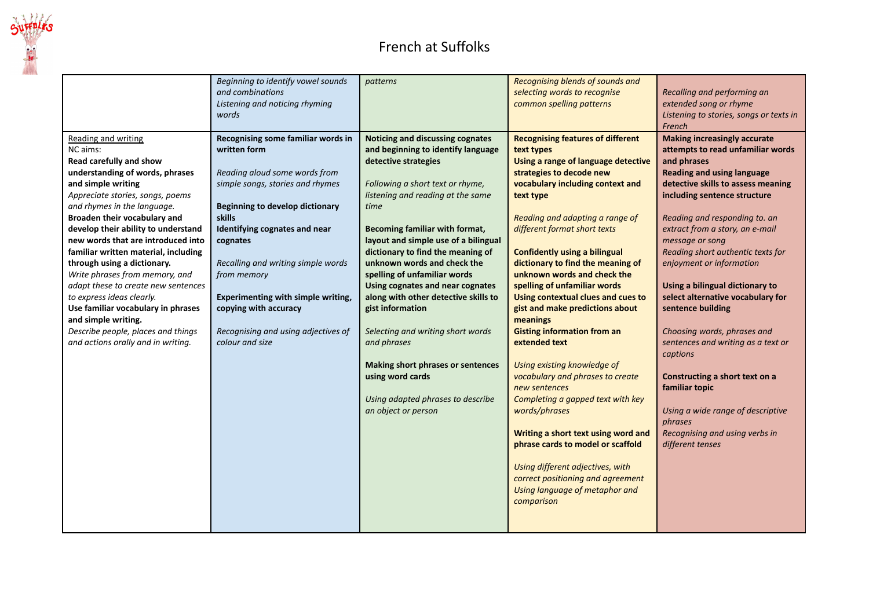

## French at Suffolks

|                                                                                                                                                                                                                                                                                                                                                                                                                                                                                                                                                                                                                                  | Beginning to identify vowel sounds<br>and combinations<br>Listening and noticing rhyming<br>words                                                                                                                                                                                                                                                                                                      | patterns                                                                                                                                                                                                                                                                                                                                                                                                                                                                                                                                                                                                                                      | Recognising blends of sounds and<br>selecting words to recognise<br>common spelling patterns                                                                                                                                                                                                                                                                                                                                                                                                                                                                                                                                                                                                                                                                                                                                                                                         | Recalling and performing an<br>extended song or rhyme<br>Listening to stories, songs or texts in<br>French                                                                                                                                                                                                                                                                                                                                                                                                                                                                                                                                                                                         |
|----------------------------------------------------------------------------------------------------------------------------------------------------------------------------------------------------------------------------------------------------------------------------------------------------------------------------------------------------------------------------------------------------------------------------------------------------------------------------------------------------------------------------------------------------------------------------------------------------------------------------------|--------------------------------------------------------------------------------------------------------------------------------------------------------------------------------------------------------------------------------------------------------------------------------------------------------------------------------------------------------------------------------------------------------|-----------------------------------------------------------------------------------------------------------------------------------------------------------------------------------------------------------------------------------------------------------------------------------------------------------------------------------------------------------------------------------------------------------------------------------------------------------------------------------------------------------------------------------------------------------------------------------------------------------------------------------------------|--------------------------------------------------------------------------------------------------------------------------------------------------------------------------------------------------------------------------------------------------------------------------------------------------------------------------------------------------------------------------------------------------------------------------------------------------------------------------------------------------------------------------------------------------------------------------------------------------------------------------------------------------------------------------------------------------------------------------------------------------------------------------------------------------------------------------------------------------------------------------------------|----------------------------------------------------------------------------------------------------------------------------------------------------------------------------------------------------------------------------------------------------------------------------------------------------------------------------------------------------------------------------------------------------------------------------------------------------------------------------------------------------------------------------------------------------------------------------------------------------------------------------------------------------------------------------------------------------|
| <b>Reading and writing</b><br>NC aims:<br>Read carefully and show<br>understanding of words, phrases<br>and simple writing<br>Appreciate stories, songs, poems<br>and rhymes in the language.<br>Broaden their vocabulary and<br>develop their ability to understand<br>new words that are introduced into<br>familiar written material, including<br>through using a dictionary.<br>Write phrases from memory, and<br>adapt these to create new sentences<br>to express ideas clearly.<br>Use familiar vocabulary in phrases<br>and simple writing.<br>Describe people, places and things<br>and actions orally and in writing. | Recognising some familiar words in<br>written form<br>Reading aloud some words from<br>simple songs, stories and rhymes<br><b>Beginning to develop dictionary</b><br>skills<br>Identifying cognates and near<br>cognates<br>Recalling and writing simple words<br>from memory<br>Experimenting with simple writing,<br>copying with accuracy<br>Recognising and using adjectives of<br>colour and size | Noticing and discussing cognates<br>and beginning to identify language<br>detective strategies<br>Following a short text or rhyme,<br>listening and reading at the same<br>time<br>Becoming familiar with format,<br>layout and simple use of a bilingual<br>dictionary to find the meaning of<br>unknown words and check the<br>spelling of unfamiliar words<br>Using cognates and near cognates<br>along with other detective skills to<br>gist information<br>Selecting and writing short words<br>and phrases<br><b>Making short phrases or sentences</b><br>using word cards<br>Using adapted phrases to describe<br>an object or person | <b>Recognising features of different</b><br>text types<br>Using a range of language detective<br>strategies to decode new<br>vocabulary including context and<br>text type<br>Reading and adapting a range of<br>different format short texts<br><b>Confidently using a bilingual</b><br>dictionary to find the meaning of<br>unknown words and check the<br>spelling of unfamiliar words<br>Using contextual clues and cues to<br>gist and make predictions about<br>meanings<br><b>Gisting information from an</b><br>extended text<br>Using existing knowledge of<br>vocabulary and phrases to create<br>new sentences<br>Completing a gapped text with key<br>words/phrases<br>Writing a short text using word and<br>phrase cards to model or scaffold<br>Using different adjectives, with<br>correct positioning and agreement<br>Using language of metaphor and<br>comparison | <b>Making increasingly accurate</b><br>attempts to read unfamiliar words<br>and phrases<br><b>Reading and using language</b><br>detective skills to assess meaning<br>including sentence structure<br>Reading and responding to. an<br>extract from a story, an e-mail<br>message or song<br>Reading short authentic texts for<br>enjoyment or information<br>Using a bilingual dictionary to<br>select alternative vocabulary for<br>sentence building<br>Choosing words, phrases and<br>sentences and writing as a text or<br>captions<br>Constructing a short text on a<br>familiar topic<br>Using a wide range of descriptive<br>phrases<br>Recognising and using verbs in<br>different tenses |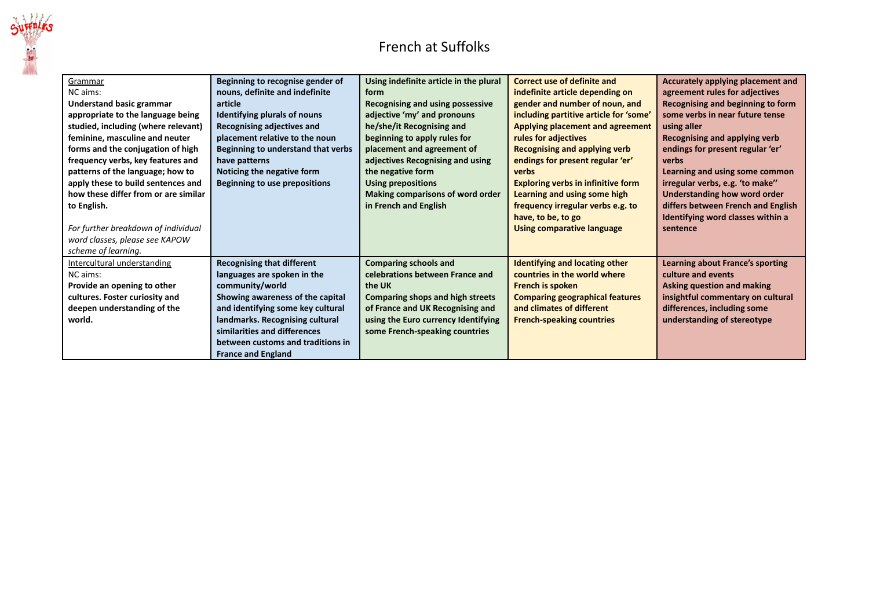

## French at Suffolks

| Grammar                              | Beginning to recognise gender of   | Using indefinite article in the plural  | Correct use of definite and               | Accurately applying placement and       |
|--------------------------------------|------------------------------------|-----------------------------------------|-------------------------------------------|-----------------------------------------|
| NC aims:                             | nouns, definite and indefinite     | form                                    | indefinite article depending on           | agreement rules for adjectives          |
| <b>Understand basic grammar</b>      | article                            | <b>Recognising and using possessive</b> | gender and number of noun, and            | Recognising and beginning to form       |
| appropriate to the language being    | Identifying plurals of nouns       | adjective 'my' and pronouns             | including partitive article for 'some'    | some verbs in near future tense         |
| studied, including (where relevant)  | Recognising adjectives and         | he/she/it Recognising and               | Applying placement and agreement          | using aller                             |
| feminine, masculine and neuter       | placement relative to the noun     | beginning to apply rules for            | rules for adjectives                      | Recognising and applying verb           |
| forms and the conjugation of high    | Beginning to understand that verbs | placement and agreement of              | Recognising and applying verb             | endings for present regular 'er'        |
| frequency verbs, key features and    | have patterns                      | adjectives Recognising and using        | endings for present regular 'er'          | verbs                                   |
| patterns of the language; how to     | Noticing the negative form         | the negative form                       | verbs                                     | Learning and using some common          |
| apply these to build sentences and   | Beginning to use prepositions      | <b>Using prepositions</b>               | <b>Exploring verbs in infinitive form</b> | irregular verbs, e.g. 'to make"         |
| how these differ from or are similar |                                    | Making comparisons of word order        | Learning and using some high              | Understanding how word order            |
| to English.                          |                                    | in French and English                   | frequency irregular verbs e.g. to         | differs between French and English      |
|                                      |                                    |                                         | have, to be, to go                        | Identifying word classes within a       |
| For further breakdown of individual  |                                    |                                         | <b>Using comparative language</b>         | sentence                                |
| word classes, please see KAPOW       |                                    |                                         |                                           |                                         |
| scheme of learning.                  |                                    |                                         |                                           |                                         |
|                                      |                                    |                                         |                                           |                                         |
| Intercultural understanding          | <b>Recognising that different</b>  | <b>Comparing schools and</b>            | <b>Identifying and locating other</b>     | <b>Learning about France's sporting</b> |
| NC aims:                             | languages are spoken in the        | celebrations between France and         | countries in the world where              | culture and events                      |
| Provide an opening to other          | community/world                    | the UK                                  | <b>French is spoken</b>                   | Asking question and making              |
| cultures. Foster curiosity and       | Showing awareness of the capital   | <b>Comparing shops and high streets</b> | <b>Comparing geographical features</b>    | insightful commentary on cultural       |
| deepen understanding of the          | and identifying some key cultural  | of France and UK Recognising and        | and climates of different                 | differences, including some             |
| world.                               | landmarks. Recognising cultural    | using the Euro currency Identifying     | <b>French-speaking countries</b>          | understanding of stereotype             |
|                                      | similarities and differences       | some French-speaking countries          |                                           |                                         |
|                                      | between customs and traditions in  |                                         |                                           |                                         |
|                                      | <b>France and England</b>          |                                         |                                           |                                         |